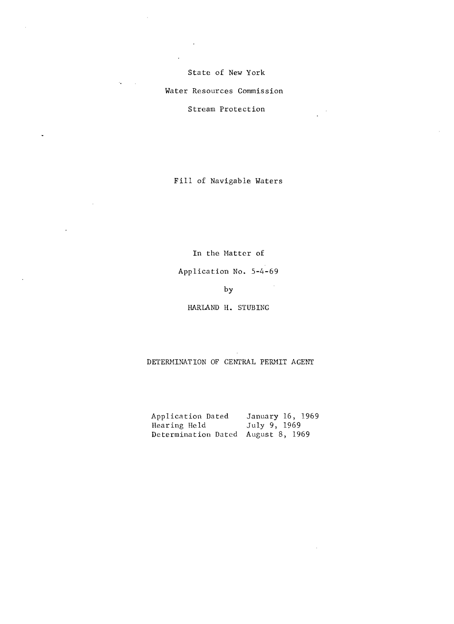State of New York

Water Resources Commission

Ñ.

Stream Protection

Fill of Navigable Waters

**In** the Matter of

Application No. 5-4-69

# by

HARLAND H. STUB INC

DETERMINATION OF CENTRAL PERMIT AGENT

Application Dated January 16, 1969<br>Hearing Held July 9, 1969 Hearing Held Determination Dated August 8, 1969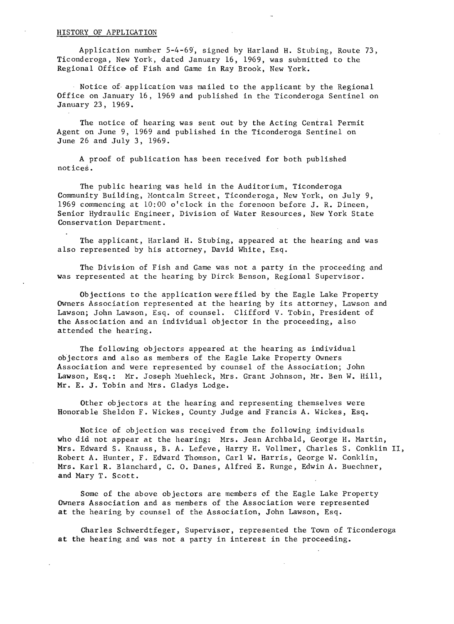### HISTORY OF APPLICATION

Application number 5-4-69', signed by Harland H. Stubing, Route 73, Ticonderoga, New York, dated January 16, 1969, was submitted to the Regional Office of Fish and Game in Ray Brook, New York.

Notice of application was mailed to the applicant by the Regional Office on January 16, 1969 and published in the Ticonderoga Sentinel on January 23, 1969.

The notice of hearing was sent out by the Acting Central Permit Agent on June 9, 1969 and published in the Ticonderoga Sentinel on June 26 and July 3, 1969.

A proof of publication has been received for both published notices.

The public hearing was held in the Auditorium, Ticonderoga Community Building, Montcalm Street, Ticonderoga, New York, on July 9, 1969 commencing at 10:00 o'clock in the forenoon before J. R. Dineen, Senior Hydraulic Engineer, Division of Water Resources, New York State Conservation Department.

The applicant, Harland H. Stubing, appeared at the hearing and was also represented by his attorney, David White, Esq.

The Division of Fish and Game was not a party in the proceeding and was represented at the hearing by Dirck Benson, Regional Supervisor.

Objections to the application were filed by the Eagle Lake Property Owners Association represented at the hearing by its attorney, Lawson and Lawson; John Lawson, Esq. of counsel. Clifford V. Tobin, President of the Association and an individual objector in the proceeding, also attended the hearing.

The following objectors appeared at the hearing as individual objectors and also as members of the Eagle Lake Property Owners Association and were represented by counsel of the Association; John Lawson, Esq.: Mr. Joseph Huehleck, Mrs. Grant Johnson, Mr. Ben W. Hill, Mr. E. J. Tobin and Mrs. Gladys Lodge.

Other objectors at the hearing and representing themselves were Honorable Sheldon F. Wickes, County Judge and Francis A. Wickes, Esq.

Notice of objection was received from the following individuals who did not appear at the hearing: Mrs. Jean Archbald, George H. Martin, Mrs. Edward S. Knauss, B. A. Lefeve, Harry H. Vollmer, Charles S. Conklin II, Robert A. Hunter, F. Edward Thomson, Carl W. Harris, George W. Conklin, Mrs. Karl R. Blanchard, C. O. Danes, Alfred E. Runge, Edwin A. Buechner, and Mary T. Scott.

Some of the above objectors are members of the Eagle Lake Property Owners Association and as members of the Association were represented at the hearing by counsel of the Association, John Lawson, Esq.

Charles Schwerdtfeger, Supervisor, represented the Town of Ticonderoga at the hearing and was not a party in interest in the proceeding.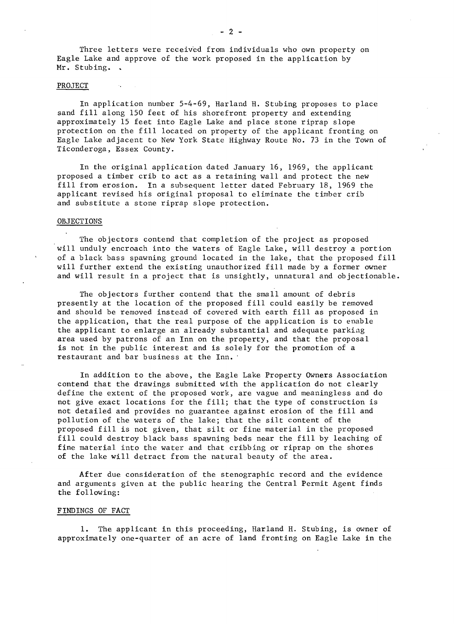Three letters were received from individuals who own property on Eagle Lake and approve of the work proposed in the application by Mr. Stubing.

#### PROJECT

In application number 5-4-69, Harland H. Stubing proposes to place sand fill along 150 feet of his shorefront property and extending approximately 15 feet into Eagle Lake and place stone riprap slope protection on the fill located on property of the applicant fronting on Eagle Lake adjacent to New York State Highway Route No. 73 in the Town of Ticonderoga, Essex County.

In the original application dated January 16, 1969, the applicant proposed a timber crib to act as a retaining wall and protect the new fill from erosion. In a subsequent letter dated February 18, 1969 the applicant revised his original proposal to eliminate the timber crib and substitute a stone riprap slope protection.

#### OBJECTIONS

The objectors contend that completion of the project as proposed will unduly encroach into the waters of Eagle Lake, will destroy a portion of a black bass spawning ground located in the lake, that the proposed fill will further extend the existing unauthorized fill made by a former owner and will result in a project that is unsightly, unnatural and objectionable.

The objectors further contend that the small amount of debris presently at the location of the proposed fill could easily be removed and should be removed instead of covered with earth fill as proposed in the application, that the real purpose of the application is to enable the applicant to enlarge an already substantial and adequate parking area used by patrons of an Inn on the property, and that the proposal is not in the public interest and is solely for the promotion of a restaurant and bar business at the Inn.

In addition to the above, the Eagle Lake Property Owners Association contend that the drawings submitted with the application do not clearly define the extent of the proposed work, are vague and meaningless and do not give exact locations for the fill; that the type of construction is not detailed and provides no guarantee against erosion of the fill and pollution of the waters of the lake; that the silt content of the proposed fill is not given, that silt or fine material in the proposed fill could destroy black bass spawning beds near the fill by leaching of fine material into the water and that cribbing or riprap on the shores of the lake will detract from the natural beauty of the area.

After due consideration of the stenographic record and the evidence and arguments given at the public hearing the Central Permit Agent finds the following:

#### FINDINGS OF FACT

1. The applicant in this proceeding, Harland H. Stubing, is owner of approximately one-quarter of an acre of land fronting on Eagle Lake in the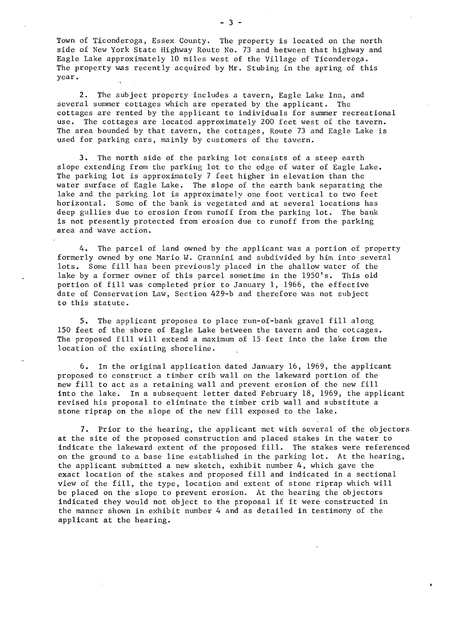Town of Ticonderoga, Essex County. The property is located on the north side of New York State Highway Route No. 73 and between that highway and Eagle Lake approximately 10 miles west of the Village of Ticonderoga. The property was recently acquired by Mr. Stubing in the spring of this year.

2. The subject property includes a tavern, Eagle Lake Inn, and several summer cottages which are operated by the applicant. The cottages are rented by the applicant to individuals for summer recreational use. The cottages are located approximately 200 feet west of the tavern. The area bounded by that tavern, the cottages, Route 73 and Eagle Lake is used for parking cars, mainly by customers of the tavern.

3. The north side of the parking lot consists of a steep earth slope extending from the parking lot to the edge of water of Eagle Lake. The parking lot is approximately 7 feet higher in elevation than the water surface of Eagle Lake. The slope of the earth bank separating the lake and the parking lot is approximately one foot vertical to two feet horizontal. Some of the bank is vegetated and at several locations has deep gullies due to erosion from runoff from the parking lot. The bank is not presently protected from erosion due to runoff from the parking area and wave action.

4. The parcel of land owned by the applicant was a portion of property formerly owned by one Mario W. Grannini and subdivided by him into several lots. Some fill has been previously placed in the shallow water of the lake by a former owner of this parcel sometime in the 1950's. This old portion of fill was completed prior to January 1, 1966, the effective date of Conservation Law, Section 429-b and therefore was not subject to this statute.

5. The applicant proposes to place run-of-bank gravel fill along 150 feet of the shore of Eagle Lake between the tavern and the cotcages. The proposed fill will extend a maximum of 15 feet into the lake from the location of the existing shoreline.

6. In the original application dated January 16, 1969, the applicant proposed to construct a timber crib wall on the lakeward portion of the new fill to act as a retaining wall and prevent erosion of the new fill into the lake. In a subsequent letter dated February 18, 1969, the applicant revised his proposal to eliminate the timber crib wall and substitute a stone riprap on the slope of the new fill exposed to the lake.

7. Prior to the hearing, the applicant met with several of the objectors at the site of the proposed construction and placed stakes in the water to indicate the lakeward extent of the proposed fill. The stakes were referenced on the ground to a base line established in the parking lot. At the hearing, the applicant submitted a new sketch, exhibit number 4, which gave the exact location of the stakes and proposed fill and indicated in a sectional view of the fill, the type, location and extent of stone riprap which will be placed on the slope to prevent erosion. At the hearing the objectors indicated they would not object to the proposal if it Were constructed in the manner shown in exhibit number 4 and as detailed in testimony of the applicant at the hearing.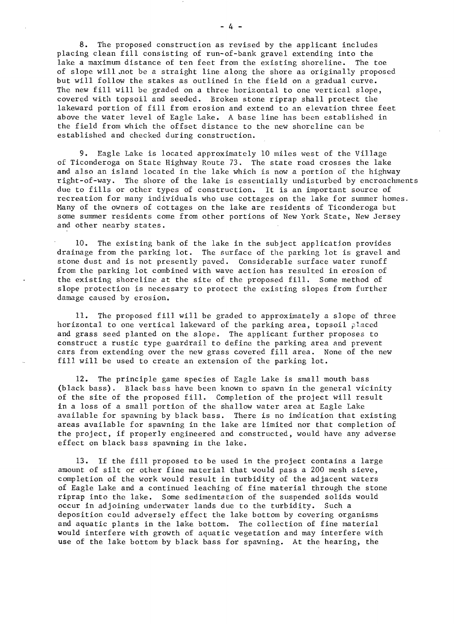8. The proposed construction as revised by the applicant includes placing clean fill consisting of run-of-bank gravel extending into the lake a maximum distance of ten feet from the existing shoreline. The toe of slope will .not be a straight line along the shore as originally proposed but will follow the stakes as outlined in the field on a gradual curve. The new fill will be graded on a three horizontal to one vertical slope, covered with topsoil and seeded. Broken stone riprap shall protect the lakeward portion of fill from erosion and extend to an elevation three feet above the water level of Eagle Lake. A base line has been established in the field from which the offset distance to the new shoreline can be established and checked during construction.

9. Eagle Lake is located approximately 10 miles west of the Village of Ticonderoga on State Highway Route 73. The state road crosses the lake and also an island located in the lake which is now a portion of the highway right-of-way. The shore of the lake is essentially undisturbed by encroachments due to fills or other types of construction. It is an important source of recreation for many individuals who use cottages on the lake for summer homes. Many of the owners of cottages on the lake are residents of Ticonderoga but some summer residents come from other portions of New York State, New Jersey and other nearby states.

10. The existing bank of the lake in the subject application provides drainage from the parking lot. The surface of the parking lot is gravel and stone dust and is not presently paved. Considerable surface water runoff from the parking lot combined with wave action has resulted in erosion of the existing shoreline at the site of the proposed fill. Some method of slope protection is necessary to protect the existing slopes from further damage caused by erosion.

11. The proposed fill will be graded to approximately a slope of three horizontal to one vertical lakeward of the parking area, topsoil placed and grass seed planted on the slope. The applicant further proposes to construct a rustic type guardrail to define the parking area and prevent cars from extending over the new grass covered fill area. None of the new fill will be used to create an extension of the parking lot.

12. The principle game species of Eagle Lake is small mouth bass (black bass). Black bass have been known to spawn in the general vicinity of the site of the proposed fill. Completion of the project will result in a loss of a small portion of the shallow water area at Eagle Lake available for spawning by black bass. There is no indication that existing areas available for spawning in the lake are limited nor that completion of the project, if properly engineered and constructed, would have any adverse effect on black bass spawning in the lake.

13. If the fill proposed to be used in the project contains a large amount of silt or other fine material that would pass a 200 mesh sieve, completion of the work would result in turbidity of the adjacent waters of Eagle Lake and a continued leaching of fine material through the stone riprap into the lake. Some sedimentation of the suspended solids would occur in adjoining underwater lands due to the turbidity. Such a deposition could adversely effect the lake bottom by covering organisms and aquatic plants in the lake bottom. The collection of fine material would interfere with growth of aquatic vegetation and may interfere with use of the lake bottom by black bass for spawning. At the hearing, the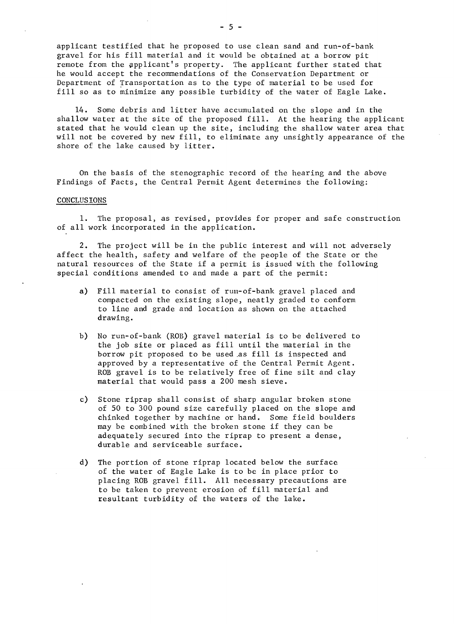applicant testified that he proposed to use clean sand and run-of-bank gravel for his fill material and it would be obtained at a borrow pit remote from the applicant's property. The applicant further stated that he would accept the recommendations of the Conservation Department or Department of Transportation as to the type of material to be used for fill so as to minimize any possible turbidity of the water of Eagle Lake.

14. Some debris and litter have accumulated on the slope and in the shallow water at the site of the proposed fill. At the hearing the applicant stated that he would clean up the site, including the shallow water area that will not be covered by new fill, to eliminate any unsightly appearance of the shore of the lake caused by litter.

On the basis of the stenographic record of the hearing and the above Findings of Facts, the Central Permit Agent determines the following:

#### CONCLUSIONS

1. The proposal, as revised, provides for proper and safe construction of all work incorporated in the application.

2. The project will be in the public interest and will not adversely affect the health, safety and welfare of the people of the State or the natural resources of the State if a permit is issued with the following special conditions amended to and made a part of the permit:

- a) Fill material to consist of run-of-bank gravel placed and compacted on the existing slope, neatly graded to conform to line and grade and location as shown on the attached drawing.
- b) No run-of-bank (ROB) gravel material is to be delivered to the job site or placed as fill until the material in the borrow pit proposed to be used ,as fill is inspected and approved by a representative of the Central Permit Agent. ROB gravel is to be relatively free of fine silt and clay material that would pass a 200 mesh sieve.
- c) Stone riprap shall consist of sharp angular broken stone of 50 to 300 pound size carefully placed on the slope and chinked together by machine or hand. Some field boulders may be combined with the broken stone if they can be adequately secured into the riprap to present a dense, durable and serviceable surface.
- d) The portion of stone riprap located below the surface of the water of Eagle Lake is to be in place prior to placing ROB gravel fill. All necessary precautions are to be taken to prevent erosion of fill material and resultant turbidity of the waters of the lake.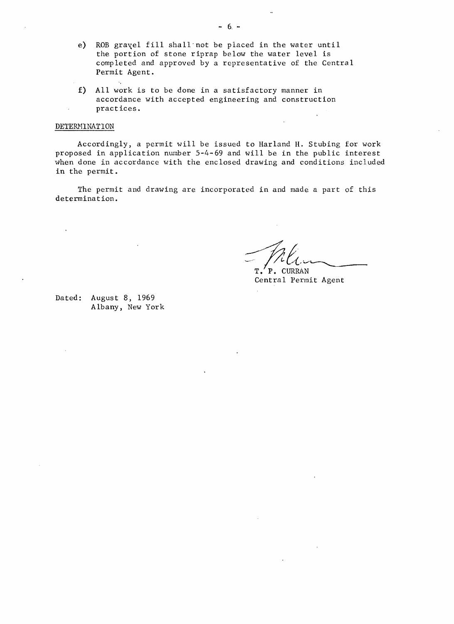- e) ROB gravel fill shall not be placed in the water until the portion of stone riprap below the water level is completed and approved by a representative of the Central Permit Agent.
- £) All work is to be done in a satisfactory manner in accordance with accepted engineering and construction practices.

# DETERHlNATION

Accordingly, a permit will be issued to Harland H. Stubing for work proposed in application number 5-4-69 and will be in the public interest when done in accordance with the enclosed drawing and conditions included in the permit.

The permit and drawing are incorporated in and made a part of this determination.

~/-l'v~ **T. P.** CURRAN

Central Permit Agent

Dated: August 8, 1969 Albany, New York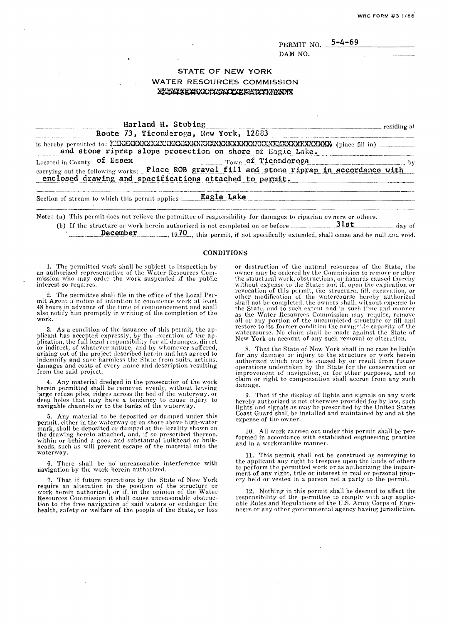WRC FORM #3 1/66

PERMIT NO. DAM NO.

 $5 - 4 - 69$ 

# **STATE OF NEW YORK**

**WATER RESOURCES COMMISSION** XXXXXXXXXXXXXXXXXXXXXXXXXXXXX

| Harland H. Stubing<br>esiding at                                                                                                                       |  |
|--------------------------------------------------------------------------------------------------------------------------------------------------------|--|
| Route 73, Ticonderoga, New York, 12883                                                                                                                 |  |
| and stone riprap slope protection on shore of Eagle Lake.                                                                                              |  |
| Located in County of Essex $_{\text{row}}$ of Ticonderoga                                                                                              |  |
| carrying out the following works: Place ROB gravel fill and stone riprap in accordance with<br>enclosed drawing and specifications attached to permit. |  |
| Section of stream to which this permit applies ______Eagle Lake                                                                                        |  |
| Note: (a) This permit does not relieve the permittee of responsibility for damages to riparian owners or others.                                       |  |
| (b) If the structure or work herein authorized is not completed on or before $\frac{3!8t}{\cdots}$ day of                                              |  |

**December** \_\_\_\_\_\_,  $19.70$ , this permit, if not specifically extended, shall cease and be null and void.

# **CONDITIONS**

The permitted work shall be subject to inspection by an authorized representative of the Water Resources Commission who may order the work suspended if the public interest so requires.

The permittee shall file in the office of the Local Permit Agent a notice of intention to commence work at least 48 hours in advance of the time of commencement and shall also notify him promptly in writing of the completion of the work

3. As a condition of the issuance of this permit, the applicant has accepted expressly, by the execution of the application, the full legal responsibility for all damages, direct or indirect, of whatever nature, and by who arising out of the project described herein and has agreed to indemnify and save harmless the State from suits, actions, damages and costs of every name and description resulting from the said project.

4. Any material dredged in the prosecution of the work herein permitted shall be removed evenly, without leaving<br>large refuse piles, ridges across the bed of the waterway, or deep holes that may have a tendency to cause injury to<br>navigable channels or to the banks of the waterway.

Any material to be deposited or dumped under this permit, either in the waterway or on shore above high-water mark, shall be deposited or dumped at the locality shown on the drawing hereto attached, and, if so prescribed thereon, within or behind a good and substantial bulkhead or bulkheads, such as will prevent escape of the material into the waterway.

6. There shall be no unreasonable interference with navigation by the work herein authorized.

7. That if future operations by the State of New York require an alteration in the position of the structure or<br>work herein authorized, or if, in the opinion of the Water<br>Resources Commission it shall cause unreasonable obstruction to the free navigation of said waters or endanger the<br>health, safety or welfare of the people of the State, or loss

or destruction of the natural resources of the State, the owner may be ordered by the Commission to remove or alter the structural work, obstructions, or hazards caused thereby<br>without expense to the State; and if, upon the expiration or revocation of this permit, the structure, fill, excavation, or other modification of the watercourse hereby authorized<br>shall not be completed, the owners shall, without expense to the State, and to such extent and in such time and manner as the Water Resources Commission may require, remove all or any portion of the uncompleted structure or fill and<br>restore to its former condition the navignble capacity of the vatercourse. No claim shall be made against the State of<br>New York on account of any such removal or alteration.

8. That the State of New York shall in no case be liable or any damage or injury to the structure or work herein<br>authorized which may be caused by or result from future<br>operations undertaken by the State for the conservation or<br>improvement of navigation, or for other purposes, a claim or right to compensation shall accrue from any such damage.

9. That if the display of lights and signals on any work hereby authorized is not otherwise provided for by law, such<br>lights and signals as may be prescribed by the United States<br>Coast Guard shall be installed and maintained by and at the expense of the owner.

10. All work carried out under this permit shall be performed in accordance with established engineering practice and in a workmanlike manner.

11. This permit shall not be construed as conveying to the applicant any right to trespass upon the lands of others<br>to perform the permitted work or as authorizing the impair-<br>ment of any right, title or interest in real or personal prop-<br>ery held or vested in a person not a p

12. Nothing in this permit shall be deemed to affect the responsibility of the permittee to comply with any applicable Rules and Regulations of the U.S. Army Corps of Engineers or any other governmental agency having jurisdiction.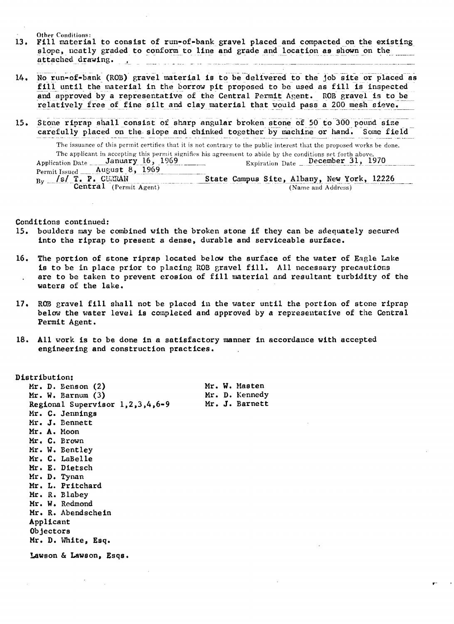Other Conditions:

- 13. Fill material to consist of run-of-bank gravel placed and compacted on the existing slope, neatly graded to conform to line and grade and location as shown on the attached drawing. . and the series of the series of the company of the series of the series of the series of the series of the series of the series of the series of the series of the series of the series of the series of the series of the ser
- 14. No run-of-bank (ROB) gravel material is to be delivered to the job site or placed as fill until the material in the borrow pit proposed to be used as fill is inspected and approved by a representative of the Central Permit Agent. ROB gravel is to be relatively free of fine silt and clay material that would pass a 200 mesh sieve.
- 15. Stone riprap shall consist of sharp angular broken stone of 50 to 300 pound size carefully placed on the slope and chinked together by machine or hand. Some field

The issuance of this permit certifles that it is not contrary to the public interest that the proposed works be done. The applicant in accepting this permit signifks his agreement to abide by the conditions ~wt forth above. Application Date January 16, 1969 Permit Issued August 8, 1969<br>By  $/s/T$ , P. CURRAN T. P. CURRAN State Campus Site, Albany, New York, 12226 Central (Permit Agent) State Campus Site, Albany, New York, 12226

Conditions continued:

- 15. boulders may be combined with the broken stone if they can be adequately secured into the riprap to present a dense, durable and serviceable surface.
- 16. The portion of stone riprap located below the surface of the water of Eagle Lake is to be in place prior to placing ROB gravel fill. All necessary precautions are to be taken to prevent erosion of fill material and resultant turbidity of the waters of the lake.
- 17. ROB gravel fill shall not be placed in the water until the portion of stone riprap below the water level is completed and approved by a representative of the Central Permit Agent.
- 18. All work is to be done in a satisfactory manner in accordance with accepted engineering and construction practices.

Distribution: Mr. D. Eenson (2) Mr. W. Masten<br>Mr. W. Barnum (3) Mr. D. Kennedy Mr. W. Barnum (3) Mr. D. Kennedy<br>Regional Supervisor 1.2.3.4.6-9 Mr. J. Barnett Regional Supervisor  $1, 2, 3, 4, 6-9$ Mr. C. Jennings Mr. J. Bennett Mr. A. Moon Mr. C. Brown Mr. W. Bentley Mr. C. LaBelle Mr. E. Dietsch Mr. D. Tynan Mr. L. Pritchard Mr. R. Blabey Mr. W. Redmond Mr. R. Abendschein Applicant Objectors Mr. D. White, Esq.

Lawson & Lawson, Esqs.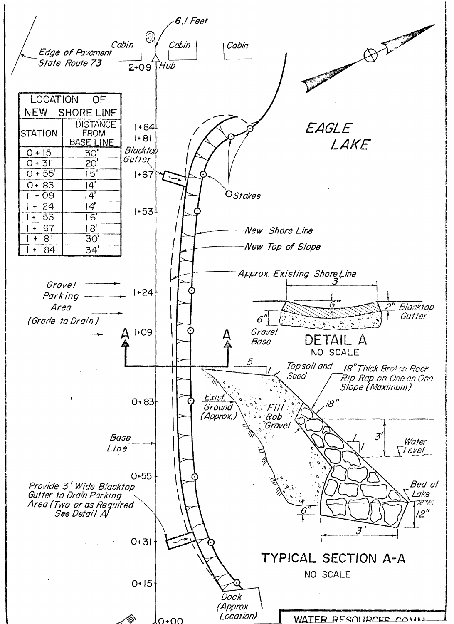